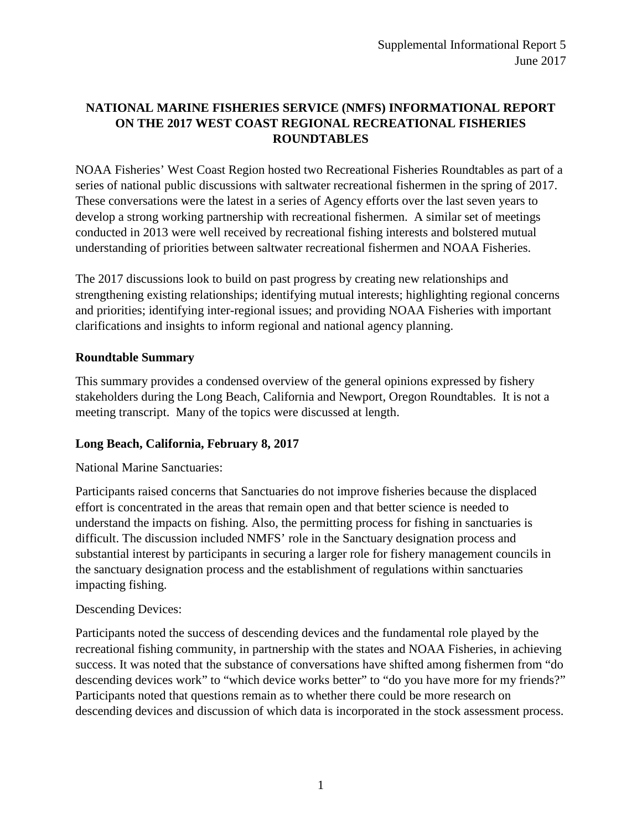# **NATIONAL MARINE FISHERIES SERVICE (NMFS) INFORMATIONAL REPORT ON THE 2017 WEST COAST REGIONAL RECREATIONAL FISHERIES ROUNDTABLES**

NOAA Fisheries' West Coast Region hosted two Recreational Fisheries Roundtables as part of a series of national public discussions with saltwater recreational fishermen in the spring of 2017. These conversations were the latest in a series of Agency efforts over the last seven years to develop a strong working partnership with recreational fishermen. A similar set of meetings conducted in 2013 were well received by recreational fishing interests and bolstered mutual understanding of priorities between saltwater recreational fishermen and NOAA Fisheries.

The 2017 discussions look to build on past progress by creating new relationships and strengthening existing relationships; identifying mutual interests; highlighting regional concerns and priorities; identifying inter-regional issues; and providing NOAA Fisheries with important clarifications and insights to inform regional and national agency planning.

### **Roundtable Summary**

This summary provides a condensed overview of the general opinions expressed by fishery stakeholders during the Long Beach, California and Newport, Oregon Roundtables. It is not a meeting transcript. Many of the topics were discussed at length.

## **Long Beach, California, February 8, 2017**

National Marine Sanctuaries:

Participants raised concerns that Sanctuaries do not improve fisheries because the displaced effort is concentrated in the areas that remain open and that better science is needed to understand the impacts on fishing. Also, the permitting process for fishing in sanctuaries is difficult. The discussion included NMFS' role in the Sanctuary designation process and substantial interest by participants in securing a larger role for fishery management councils in the sanctuary designation process and the establishment of regulations within sanctuaries impacting fishing.

### Descending Devices:

Participants noted the success of descending devices and the fundamental role played by the recreational fishing community, in partnership with the states and NOAA Fisheries, in achieving success. It was noted that the substance of conversations have shifted among fishermen from "do descending devices work" to "which device works better" to "do you have more for my friends?" Participants noted that questions remain as to whether there could be more research on descending devices and discussion of which data is incorporated in the stock assessment process.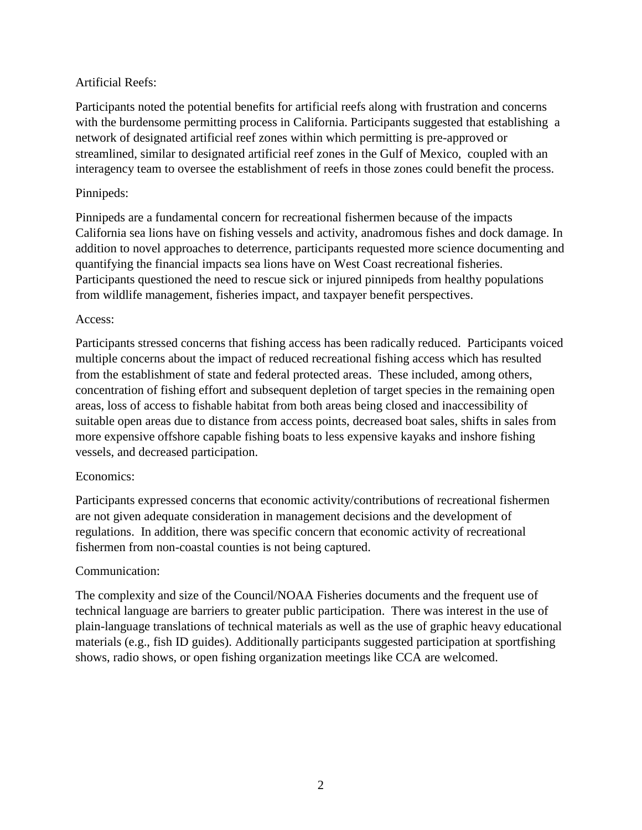### Artificial Reefs:

Participants noted the potential benefits for artificial reefs along with frustration and concerns with the burdensome permitting process in California. Participants suggested that establishing a network of designated artificial reef zones within which permitting is pre-approved or streamlined, similar to designated artificial reef zones in the Gulf of Mexico, coupled with an interagency team to oversee the establishment of reefs in those zones could benefit the process.

### Pinnipeds:

Pinnipeds are a fundamental concern for recreational fishermen because of the impacts California sea lions have on fishing vessels and activity, anadromous fishes and dock damage. In addition to novel approaches to deterrence, participants requested more science documenting and quantifying the financial impacts sea lions have on West Coast recreational fisheries. Participants questioned the need to rescue sick or injured pinnipeds from healthy populations from wildlife management, fisheries impact, and taxpayer benefit perspectives.

### Access:

Participants stressed concerns that fishing access has been radically reduced. Participants voiced multiple concerns about the impact of reduced recreational fishing access which has resulted from the establishment of state and federal protected areas. These included, among others, concentration of fishing effort and subsequent depletion of target species in the remaining open areas, loss of access to fishable habitat from both areas being closed and inaccessibility of suitable open areas due to distance from access points, decreased boat sales, shifts in sales from more expensive offshore capable fishing boats to less expensive kayaks and inshore fishing vessels, and decreased participation.

### Economics:

Participants expressed concerns that economic activity/contributions of recreational fishermen are not given adequate consideration in management decisions and the development of regulations. In addition, there was specific concern that economic activity of recreational fishermen from non-coastal counties is not being captured.

### Communication:

The complexity and size of the Council/NOAA Fisheries documents and the frequent use of technical language are barriers to greater public participation. There was interest in the use of plain-language translations of technical materials as well as the use of graphic heavy educational materials (e.g., fish ID guides). Additionally participants suggested participation at sportfishing shows, radio shows, or open fishing organization meetings like CCA are welcomed.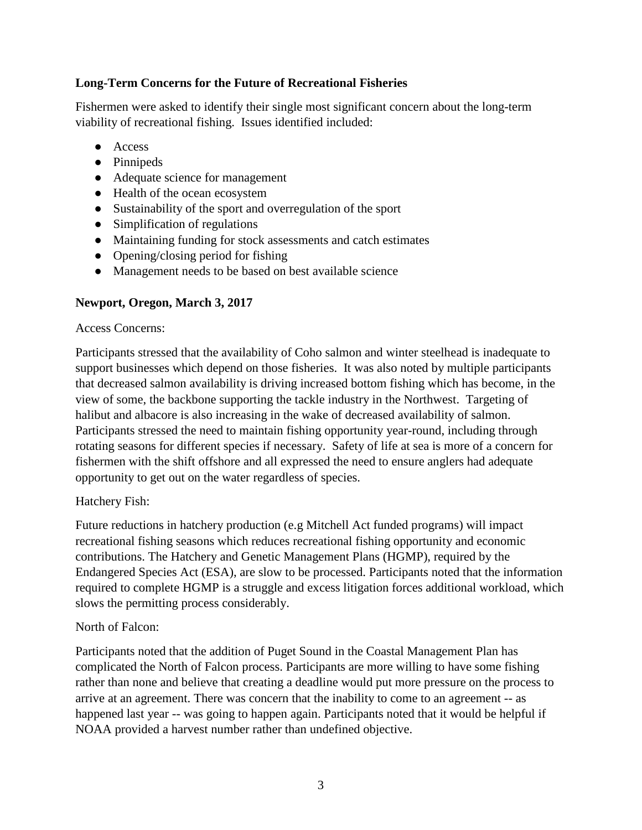### **Long-Term Concerns for the Future of Recreational Fisheries**

Fishermen were asked to identify their single most significant concern about the long-term viability of recreational fishing. Issues identified included:

- Access
- Pinnipeds
- Adequate science for management
- Health of the ocean ecosystem
- Sustainability of the sport and overregulation of the sport
- Simplification of regulations
- Maintaining funding for stock assessments and catch estimates
- Opening/closing period for fishing
- Management needs to be based on best available science

### **Newport, Oregon, March 3, 2017**

#### Access Concerns:

Participants stressed that the availability of Coho salmon and winter steelhead is inadequate to support businesses which depend on those fisheries. It was also noted by multiple participants that decreased salmon availability is driving increased bottom fishing which has become, in the view of some, the backbone supporting the tackle industry in the Northwest. Targeting of halibut and albacore is also increasing in the wake of decreased availability of salmon. Participants stressed the need to maintain fishing opportunity year-round, including through rotating seasons for different species if necessary. Safety of life at sea is more of a concern for fishermen with the shift offshore and all expressed the need to ensure anglers had adequate opportunity to get out on the water regardless of species.

### Hatchery Fish:

Future reductions in hatchery production (e.g Mitchell Act funded programs) will impact recreational fishing seasons which reduces recreational fishing opportunity and economic contributions. The Hatchery and Genetic Management Plans (HGMP), required by the Endangered Species Act (ESA), are slow to be processed. Participants noted that the information required to complete HGMP is a struggle and excess litigation forces additional workload, which slows the permitting process considerably.

### North of Falcon:

Participants noted that the addition of Puget Sound in the Coastal Management Plan has complicated the North of Falcon process. Participants are more willing to have some fishing rather than none and believe that creating a deadline would put more pressure on the process to arrive at an agreement. There was concern that the inability to come to an agreement -- as happened last year -- was going to happen again. Participants noted that it would be helpful if NOAA provided a harvest number rather than undefined objective.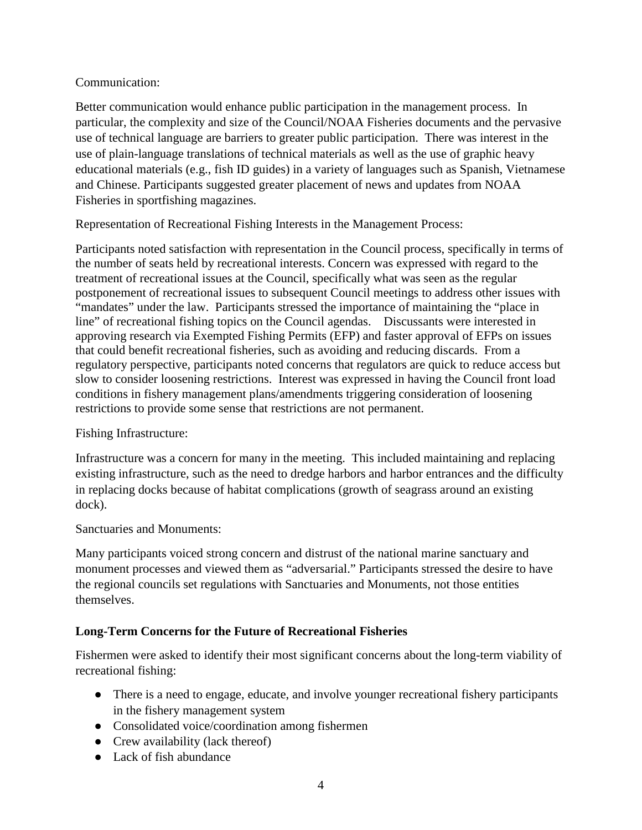### Communication:

Better communication would enhance public participation in the management process. In particular, the complexity and size of the Council/NOAA Fisheries documents and the pervasive use of technical language are barriers to greater public participation. There was interest in the use of plain-language translations of technical materials as well as the use of graphic heavy educational materials (e.g., fish ID guides) in a variety of languages such as Spanish, Vietnamese and Chinese. Participants suggested greater placement of news and updates from NOAA Fisheries in sportfishing magazines.

Representation of Recreational Fishing Interests in the Management Process:

Participants noted satisfaction with representation in the Council process, specifically in terms of the number of seats held by recreational interests. Concern was expressed with regard to the treatment of recreational issues at the Council, specifically what was seen as the regular postponement of recreational issues to subsequent Council meetings to address other issues with "mandates" under the law. Participants stressed the importance of maintaining the "place in line" of recreational fishing topics on the Council agendas. Discussants were interested in approving research via Exempted Fishing Permits (EFP) and faster approval of EFPs on issues that could benefit recreational fisheries, such as avoiding and reducing discards. From a regulatory perspective, participants noted concerns that regulators are quick to reduce access but slow to consider loosening restrictions. Interest was expressed in having the Council front load conditions in fishery management plans/amendments triggering consideration of loosening restrictions to provide some sense that restrictions are not permanent.

### Fishing Infrastructure:

Infrastructure was a concern for many in the meeting. This included maintaining and replacing existing infrastructure, such as the need to dredge harbors and harbor entrances and the difficulty in replacing docks because of habitat complications (growth of seagrass around an existing dock).

Sanctuaries and Monuments:

Many participants voiced strong concern and distrust of the national marine sanctuary and monument processes and viewed them as "adversarial." Participants stressed the desire to have the regional councils set regulations with Sanctuaries and Monuments, not those entities themselves.

## **Long-Term Concerns for the Future of Recreational Fisheries**

Fishermen were asked to identify their most significant concerns about the long-term viability of recreational fishing:

- There is a need to engage, educate, and involve younger recreational fishery participants in the fishery management system
- Consolidated voice/coordination among fishermen
- Crew availability (lack thereof)
- Lack of fish abundance